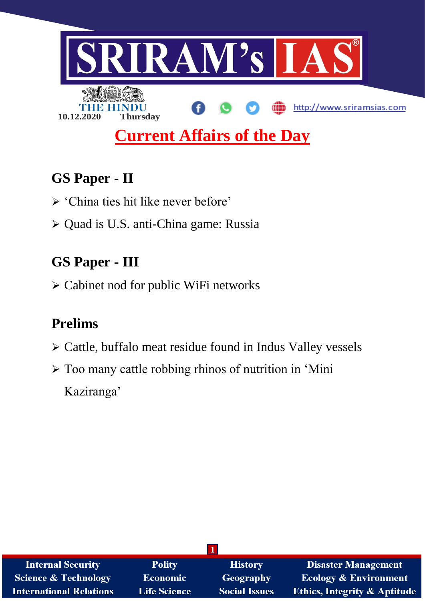

# **GS Paper - II**

- > 'China ties hit like never before'
- Quad is U.S. anti-China game: Russia

# **GS Paper - III**

Cabinet nod for public WiFi networks

# **Prelims**

- $\triangleright$  Cattle, buffalo meat residue found in Indus Valley vessels
- Too many cattle robbing rhinos of nutrition in 'Mini Kaziranga'

| <b>Internal Security</b>        | <b>Polity</b>       | <b>History</b>       | <b>Disaster Management</b>              |
|---------------------------------|---------------------|----------------------|-----------------------------------------|
| <b>Science &amp; Technology</b> | <b>Economic</b>     | <b>Geography</b>     | <b>Ecology &amp; Environment</b>        |
| <b>International Relations</b>  | <b>Life Science</b> | <b>Social Issues</b> | <b>Ethics, Integrity &amp; Aptitude</b> |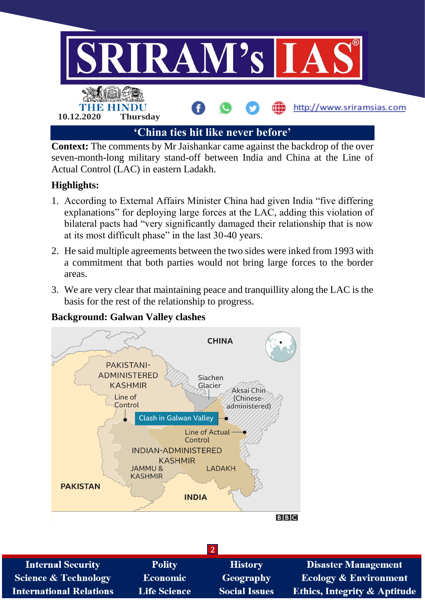

**Context:** The comments by Mr Jaishankar came against the backdrop of the over seven-month-long military stand-off between India and China at the Line of Actual Control (LAC) in eastern Ladakh.

## **Highlights:**

- 1. According to External Affairs Minister China had given India "five differing explanations" for deploying large forces at the LAC, adding this violation of bilateral pacts had "very significantly damaged their relationship that is now at its most difficult phase" in the last 30-40 years.
- 2. He said multiple agreements between the two sides were inked from 1993 with a commitment that both parties would not bring large forces to the border areas.
- 3. We are very clear that maintaining peace and tranquillity along the LAC is the basis for the rest of the relationship to progress.

## **Background: Galwan Valley clashes**



| <b>Internal Security</b>        | <b>Polity</b>       | <b>History</b>       | <b>Disaster Management</b>              |  |
|---------------------------------|---------------------|----------------------|-----------------------------------------|--|
| <b>Science &amp; Technology</b> | <b>Economic</b>     | Geography            | <b>Ecology &amp; Environment</b>        |  |
| <b>International Relations</b>  | <b>Life Science</b> | <b>Social Issues</b> | <b>Ethics, Integrity &amp; Aptitude</b> |  |

 $\overline{2}$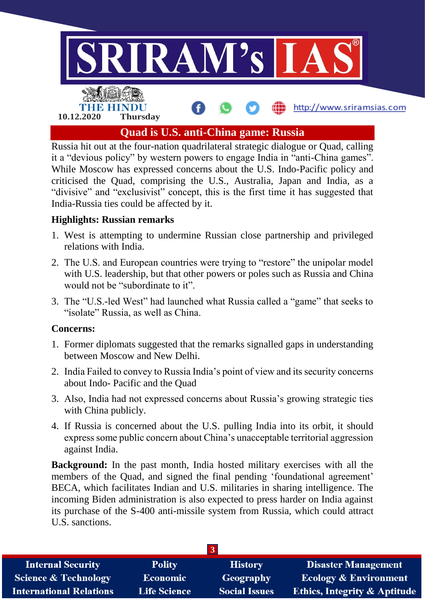

Russia hit out at the four-nation quadrilateral strategic dialogue or Quad, calling it a "devious policy" by western powers to engage India in "anti-China games". While Moscow has expressed concerns about the U.S. Indo-Pacific policy and criticised the Quad, comprising the U.S., Australia, Japan and India, as a "divisive" and "exclusivist" concept, this is the first time it has suggested that India-Russia ties could be affected by it.

### **Highlights: Russian remarks**

- 1. West is attempting to undermine Russian close partnership and privileged relations with India.
- 2. The U.S. and European countries were trying to "restore" the unipolar model with U.S. leadership, but that other powers or poles such as Russia and China would not be "subordinate to it".
- 3. The "U.S.-led West" had launched what Russia called a "game" that seeks to "isolate" Russia, as well as China.

#### **Concerns:**

- 1. Former diplomats suggested that the remarks signalled gaps in understanding between Moscow and New Delhi.
- 2. India Failed to convey to Russia India's point of view and its security concerns about Indo- Pacific and the Quad
- 3. Also, India had not expressed concerns about Russia's growing strategic ties with China publicly.
- 4. If Russia is concerned about the U.S. pulling India into its orbit, it should express some public concern about China's unacceptable territorial aggression against India.

**Background:** In the past month, India hosted military exercises with all the members of the Quad, and signed the final pending 'foundational agreement' BECA, which facilitates Indian and U.S. militaries in sharing intelligence. The incoming Biden administration is also expected to press harder on India against its purchase of the S-400 anti-missile system from Russia, which could attract U.S. sanctions.

| <b>Internal Security</b>        | <b>Polity</b>       | <b>History</b>       | <b>Disaster Management</b>              |
|---------------------------------|---------------------|----------------------|-----------------------------------------|
| <b>Science &amp; Technology</b> | <b>Economic</b>     | Geography            | <b>Ecology &amp; Environment</b>        |
| <b>International Relations</b>  | <b>Life Science</b> | <b>Social Issues</b> | <b>Ethics, Integrity &amp; Aptitude</b> |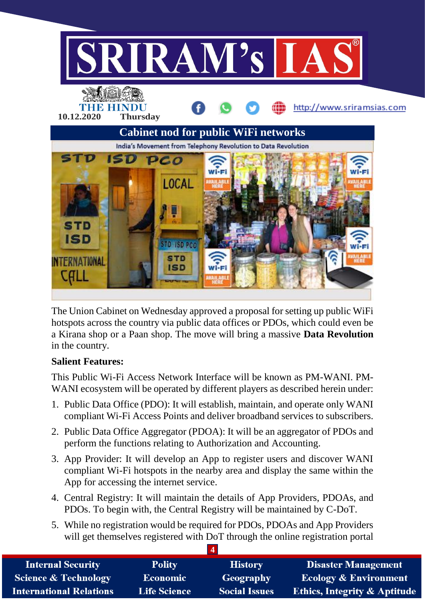

The Union Cabinet on Wednesday approved a proposal for setting up public WiFi hotspots across the country via public data offices or PDOs, which could even be a Kirana shop or a Paan shop. The move will bring a massive **Data Revolution** in the country.

### **Salient Features:**

This Public Wi-Fi Access Network Interface will be known as PM-WANI. PM-WANI ecosystem will be operated by different players as described herein under:

- 1. Public Data Office (PDO): It will establish, maintain, and operate only WANI compliant Wi-Fi Access Points and deliver broadband services to subscribers.
- 2. Public Data Office Aggregator (PDOA): It will be an aggregator of PDOs and perform the functions relating to Authorization and Accounting.
- 3. App Provider: It will develop an App to register users and discover WANI compliant Wi-Fi hotspots in the nearby area and display the same within the App for accessing the internet service.
- 4. Central Registry: It will maintain the details of App Providers, PDOAs, and PDOs. To begin with, the Central Registry will be maintained by C-DoT.
- 5. While no registration would be required for PDOs, PDOAs and App Providers will get themselves registered with DoT through the online registration portal

| <b>Internal Security</b>        | <b>Polity</b>       | <b>History</b>       | <b>Disaster Management</b>              |
|---------------------------------|---------------------|----------------------|-----------------------------------------|
| <b>Science &amp; Technology</b> | <b>Economic</b>     | Geography            | <b>Ecology &amp; Environment</b>        |
| <b>International Relations</b>  | <b>Life Science</b> | <b>Social Issues</b> | <b>Ethics, Integrity &amp; Aptitude</b> |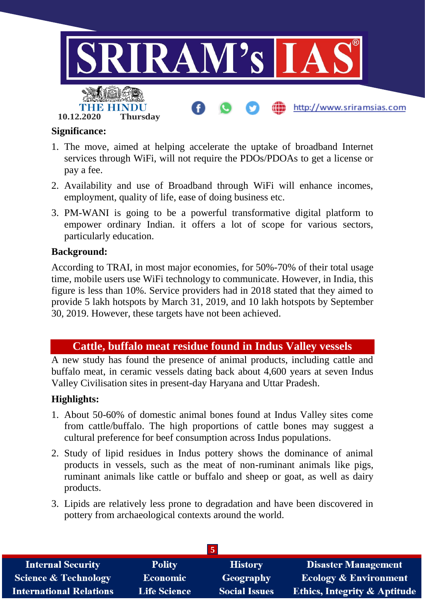

#### **Significance:**

- 1. The move, aimed at helping accelerate the uptake of broadband Internet services through WiFi, will not require the PDOs/PDOAs to get a license or pay a fee.
- 2. Availability and use of Broadband through WiFi will enhance incomes, employment, quality of life, ease of doing business etc.
- 3. PM-WANI is going to be a powerful transformative digital platform to empower ordinary Indian. it offers a lot of scope for various sectors, particularly education.

#### **Background:**

According to TRAI, in most major economies, for 50%-70% of their total usage time, mobile users use WiFi technology to communicate. However, in India, this figure is less than 10%. Service providers had in 2018 stated that they aimed to provide 5 lakh hotspots by March 31, 2019, and 10 lakh hotspots by September 30, 2019. However, these targets have not been achieved.

## **Cattle, buffalo meat residue found in Indus Valley vessels**

A new study has found the presence of animal products, including cattle and buffalo meat, in ceramic vessels dating back about 4,600 years at seven Indus Valley Civilisation sites in present-day Haryana and Uttar Pradesh.

### **Highlights:**

- 1. About 50-60% of domestic animal bones found at Indus Valley sites come from cattle/buffalo. The high proportions of cattle bones may suggest a cultural preference for beef consumption across Indus populations.
- 2. Study of lipid residues in Indus pottery shows the dominance of animal products in vessels, such as the meat of non-ruminant animals like pigs, ruminant animals like cattle or buffalo and sheep or goat, as well as dairy products.
- 3. Lipids are relatively less prone to degradation and have been discovered in pottery from archaeological contexts around the world.

| $\mathbf{P}$                    |                     |                      |                                  |  |
|---------------------------------|---------------------|----------------------|----------------------------------|--|
| <b>Internal Security</b>        | <b>Polity</b>       | <b>History</b>       | <b>Disaster Management</b>       |  |
| <b>Science &amp; Technology</b> | <b>Economic</b>     | Geography            | <b>Ecology &amp; Environment</b> |  |
| <b>International Relations</b>  | <b>Life Science</b> | <b>Social Issues</b> | Ethics, Integrity & Aptitude     |  |